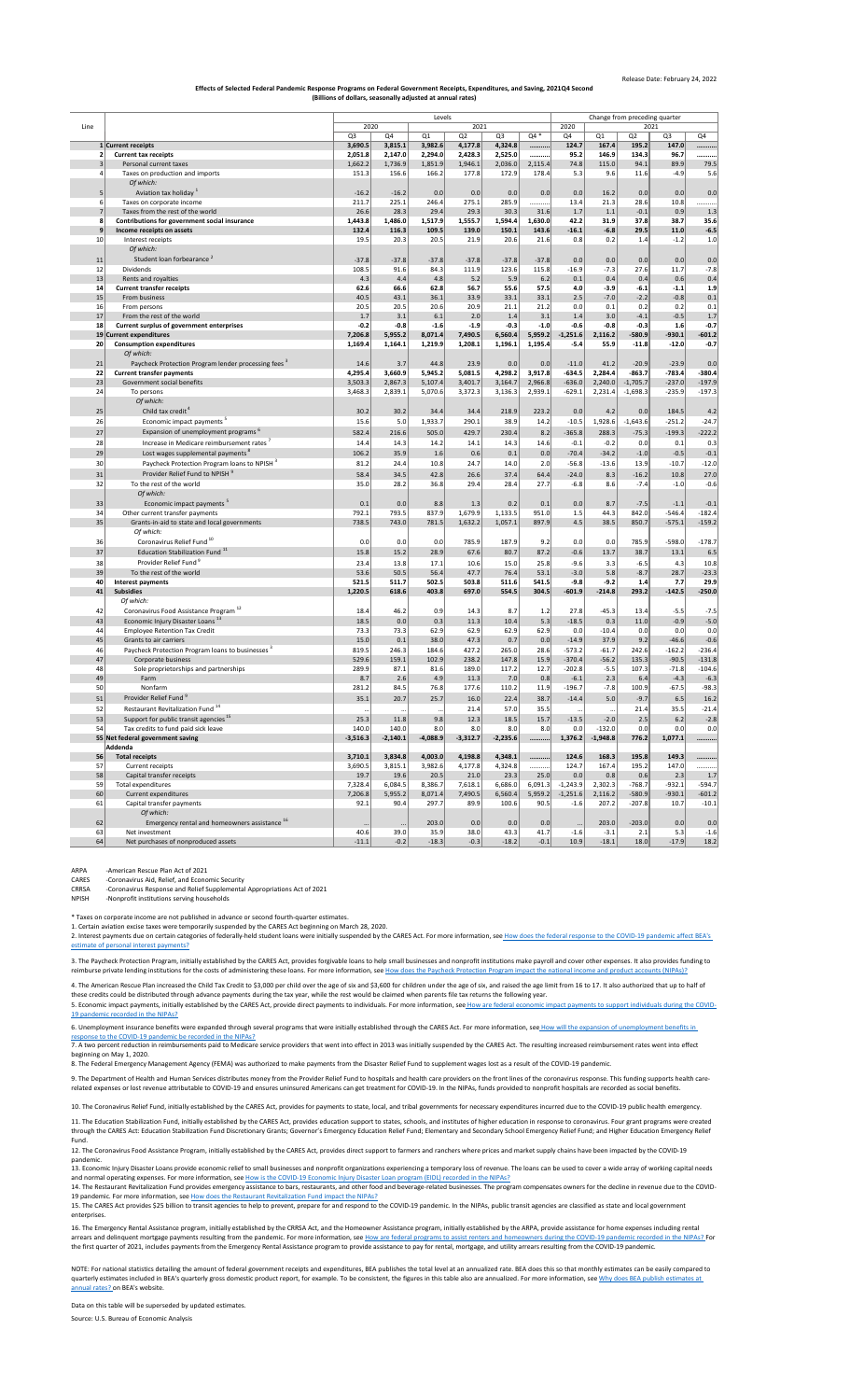## Release Date: February 24, 2022

[NOTE: For n](https://www.bea.gov/help/faq/121)ational statistics detailing the amount of federal government receipts and expenditures, BEA publishes the total level at an annualized rate. BEA does this so that monthly estimates can be easily compared to [quarterly estimates included in BEA's quarterly gross domestic product report, for example. To be consistent, the figures in this table also are annualized. For more information, see W](https://www.bea.gov/help/faq/121)hy does BEA publish estimates at [annual rates? o](https://www.bea.gov/help/faq/121)n BEA's website.

9. The Department of Health and Human Services distributes money from the Provider Relief Fund to hospitals and health care providers on the front lines of the coronavirus response. This funding supports health carerelated expenses or lost revenue attributable to COVID-19 and ensures uninsured Americans can get treatment for COVID-19. In the NIPAs, funds provided to nonprofit hospitals are recorded as social benefits.

11. The Education Stabilization Fund, initially established by the CARES Act, provides education support to states, schools, and institutes of higher education in response to coronavirus. Four grant programs were created through the CARES Act: Education Stabilization Fund Discretionary Grants; Governor's Emergency Education Relief Fund; Elementary and Secondary School Emergency Relief Fund; and Higher Education Emergency Relief Fund.

[2. Interest payments due on certain categories of federally-held student loans were initially suspended by the CARES Act. For more information, see](https://www.bea.gov/help/faq/1407) How does the federal response to the COVID-19 pandemic affect BEA's [estimate of](https://www.bea.gov/help/faq/1407) personal interest payments?

[3. The Paych](https://www.bea.gov/help/faq/1408)eck Protection Program, initially established by the CARES Act, provides forgivable loans to help small businesses and nonprofit institutions make payroll and cover other expenses. It also provides funding to [reimburse private lending institutions for the costs of administering these loans. For more information, see H](https://www.bea.gov/help/faq/1408)ow does the Paycheck Protection Program impact the national income and product accounts (NIPAs)?

[5. Economic impact payments, initially established by the CARES Act, provide direct payments to individuals. For more information, see](https://www.bea.gov/help/faq/1409) How are federal economic impact payments to support individuals during the COVID-[19 pandem](https://www.bea.gov/help/faq/1409)ic recorded in the NIPAs?

[6. Unemployment insurance benefits were expanded through several programs that were initially established through the CARES Act. For more information, see](https://www.bea.gov/help/faq/1415) How will the expansion of unemployment benefits in [response to](https://www.bea.gov/help/faq/1415) the COVID-19 pandemic be recorded in the NIPAs?

|                 |                                                                 | Levels         |                   |            |            |                |         |                    |            |                     | Change from preceding quarter |          |  |  |  |  |
|-----------------|-----------------------------------------------------------------|----------------|-------------------|------------|------------|----------------|---------|--------------------|------------|---------------------|-------------------------------|----------|--|--|--|--|
| Line            |                                                                 |                | 2020<br>2021      |            |            |                |         | 2020<br>2021       |            |                     |                               |          |  |  |  |  |
|                 |                                                                 | Q <sub>3</sub> | Q4                | Q1         | Q2         | Q <sub>3</sub> | Q4 *    | Q4                 | Q1         | Q2                  | Q <sub>3</sub>                | Q4       |  |  |  |  |
|                 | 1 Current receipts                                              | 3,690.5        | 3,815.1           | 3,982.6    | 4,177.8    | 4,324.8        |         | 124.7              | 167.4      | 195.2               | 147.0                         |          |  |  |  |  |
|                 | <b>Current tax receipts</b>                                     | 2,051.8        | 2,147.0           | 2,294.0    | 2,428.3    | 2,525.0        |         | 95.2               | 146.9      | 134.3               | 96.7                          |          |  |  |  |  |
|                 | Personal current taxes                                          | 1,662.2        | 1,736.9           | 1,851.9    | 1,946.1    | 2,036.0        | 2,115.4 | 74.8               | 115.0      | 94.1                | 89.9                          | 79.5     |  |  |  |  |
|                 | Taxes on production and imports                                 | 151.3          | 156.6             | 166.2      | 177.8      | 172.9          | 178.4   | 5.3                | 9.6        | 11.6                | $-4.9$                        | 5.6      |  |  |  |  |
|                 | Of which:                                                       |                |                   |            |            |                |         |                    |            |                     |                               |          |  |  |  |  |
| 5 <sup>2</sup>  | Aviation tax holiday <sup>1</sup>                               | $-16.2$        | $-16.2$           | 0.0        | 0.0        | 0.0            | 0.0     | 0.0                | 16.2       | 0.0                 | 0.0                           | 0.0      |  |  |  |  |
| 6 <sup>1</sup>  | Taxes on corporate income                                       | 211.7          | 225.1             | 246.4      | 275.1      | 285.9          | .       | 13.4               | 21.3       | 28.6                | 10.8                          | .        |  |  |  |  |
|                 | Taxes from the rest of the world                                | 26.6           | 28.3              | 29.4       | 29.3       | 30.3           | 31.6    | 1.7                | 1.1        | $-0.1$              | 0.9                           | 1.3      |  |  |  |  |
| 8               | Contributions for government social insurance                   | 1,443.8        | 1,486.0           | 1,517.9    | 1,555.7    | 1,594.4        | 1,630.0 | 42.2               | 31.9       | 37.8                | 38.7                          | 35.6     |  |  |  |  |
| 9               | Income receipts on assets                                       | 132.4          | 116.3             | 109.5      | 139.0      | 150.1          | 143.6   | $-16.1$            | $-6.8$     | 29.5                | 11.0                          | $-6.5$   |  |  |  |  |
| 10 <sup>1</sup> | Interest receipts                                               | 19.5           | 20.3              | 20.5       | 21.9       | 20.6           | 21.6    | 0.8                | 0.2        | 1.4                 | $-1.2$                        | 1.0      |  |  |  |  |
|                 | Of which:                                                       |                |                   |            |            |                |         |                    |            |                     |                               |          |  |  |  |  |
| 11              | Student loan forbearance <sup>2</sup>                           | $-37.8$        | $-37.8$           | $-37.8$    | $-37.8$    | $-37.8$        | $-37.8$ | 0.0                | 0.0        | 0.0                 | 0.0                           | 0.0      |  |  |  |  |
| 12              | Dividends                                                       | 108.5          | 91.6              | 84.3       | 111.9      | 123.6          | 115.8   | $-16.9$            | $-7.3$     | 27.6                | 11.7                          | $-7.8$   |  |  |  |  |
| 13              | Rents and royalties                                             | 4.3            | 4.4               | 4.8        | 5.2        | 5.9            | 6.2     | 0.1                | 0.4        | 0.4                 | 0.6                           | 0.4      |  |  |  |  |
| 14              | <b>Current transfer receipts</b>                                | 62.6           | 66.6              | 62.8       | 56.7       | 55.6           | 57.5    | 4.0                | $-3.9$     | $-6.1$              | $-1.1$                        | 1.9      |  |  |  |  |
| 15              | From business                                                   | 40.5           | 43.1              | 36.1       | 33.9       | 33.1           | 33.1    | 2.5                | $-7.0$     | $-2.2$              | $-0.8$                        | 0.1      |  |  |  |  |
| 16              | From persons                                                    | 20.5           | 20.5              | 20.6       | 20.9       | 21.1           | 21.2    | 0.0                | 0.1        | 0.2                 | 0.2                           | 0.1      |  |  |  |  |
| 17              | From the rest of the world                                      | 1.7            | 3.1               | 6.1        | 2.0        | 1.4            | 3.1     | 1.4                | 3.0        | $-4.1$              | $-0.5$                        | 1.7      |  |  |  |  |
| 18              | <b>Current surplus of government enterprises</b>                | $-0.2$         | $-0.8$            | $-1.6$     | $-1.9$     | $-0.3$         | $-1.0$  | $-0.6$             | $-0.8$     | $-0.3$              | 1.6                           | $-0.7$   |  |  |  |  |
|                 | 19 Current expenditures                                         | 7,206.8        | 5,955.2           | 8,071.4    | 7,490.5    | 6,560.4        | 5,959.2 | $-1,251.6$         | 2,116.2    | $-580.9$            | $-930.1$                      | $-601.2$ |  |  |  |  |
| 20 <sup>1</sup> | <b>Consumption expenditures</b>                                 | 1,169.4        | 1,164.1           | 1,219.9    | 1,208.1    | 1,196.1        | 1,195.4 | $-5.4$             | 55.9       | $-11.8$             | $-12.0$                       | $-0.7$   |  |  |  |  |
|                 | Of which:                                                       |                |                   |            |            |                |         |                    |            |                     |                               |          |  |  |  |  |
|                 |                                                                 |                |                   |            |            |                |         |                    |            |                     |                               |          |  |  |  |  |
| 21              | Paycheck Protection Program lender processing fees <sup>3</sup> | 14.6           | 3.7               | 44.8       | 23.9       | 0.0            | 0.0     | $-11.0$            | 41.2       | $-20.9$<br>$-863.7$ | $-23.9$                       | 0.0      |  |  |  |  |
| 22              | <b>Current transfer payments</b>                                | 4,295.4        | 3,660.9           | 5,945.2    | 5,081.5    | 4,298.2        | 3,917.8 | $-634.5$           | 2,284.4    |                     | $-783.4$                      | $-380.4$ |  |  |  |  |
| 23              | Government social benefits                                      | 3,503.3        | 2,867.3           | 5,107.4    | 3,401.7    | 3,164.7        | 2,966.8 | $-636.0$           | 2,240.0    | $-1,705.7$          | $-237.0$                      | $-197.9$ |  |  |  |  |
| 24              | To persons                                                      | 3,468.3        | 2,839.1           | 5,070.6    | 3,372.3    | 3,136.3        | 2,939.1 | $-629.1$           | 2,231.4    | $-1,698.3$          | $-235.9$                      | $-197.3$ |  |  |  |  |
|                 | Of which:                                                       |                |                   |            |            |                |         |                    |            |                     |                               |          |  |  |  |  |
| 25              | Child tax credit <sup>4</sup>                                   | 30.2           | 30.2              | 34.4       | 34.4       | 218.9          | 223.2   | 0.0                | 4.2        | 0.0                 | 184.5                         | 4.2      |  |  |  |  |
| 26              | Economic impact payments <sup>5</sup>                           | 15.6           | 5.0               | 1,933.7    | 290.1      | 38.9           | 14.2    | $-10.5$            | 1,928.6    | $-1,643.6$          | $-251.2$                      | $-24.7$  |  |  |  |  |
| 27              | Expansion of unemployment programs <sup>6</sup>                 | 582.4          | 216.6             | 505.0      | 429.7      | 230.4          | 8.2     | $-365.8$           | 288.3      | $-75.3$             | $-199.3$                      | $-222.2$ |  |  |  |  |
| 28              | Increase in Medicare reimbursement rates <sup>7</sup>           | 14.4           | 14.3              | 14.2       | 14.1       | 14.3           | 14.6    | $-0.1$             | $-0.2$     | 0.0                 | 0.1                           | 0.3      |  |  |  |  |
| 29              | Lost wages supplemental payments <sup>8</sup>                   | 106.2          | 35.9              | 1.6        | 0.6        | 0.1            | 0.0     | $-70.4$            | $-34.2$    | $-1.0$              | $-0.5$                        | $-0.1$   |  |  |  |  |
|                 | Paycheck Protection Program loans to NPISH <sup>3</sup>         |                |                   |            |            |                |         |                    |            |                     | $-10.7$                       |          |  |  |  |  |
| 30              |                                                                 | 81.2           | 24.4              | 10.8       | 24.7       | 14.0           | 2.0     | $-56.8$            | $-13.6$    | 13.9                |                               | $-12.0$  |  |  |  |  |
| 31              | Provider Relief Fund to NPISH <sup>9</sup>                      | 58.4           | 34.5              | 42.8       | 26.6       | 37.4           | 64.4    | $-24.0$            | 8.3        | $-16.2$             | 10.8                          | 27.0     |  |  |  |  |
| 32              | To the rest of the world                                        | 35.0           | 28.2              | 36.8       | 29.4       | 28.4           | 27.7    | $-6.8$             | 8.6        | $-7.4$              | $-1.0$                        | $-0.6$   |  |  |  |  |
|                 | Of which:                                                       |                |                   |            |            |                |         |                    |            |                     |                               |          |  |  |  |  |
| 33              | Economic impact payments <sup>5</sup>                           | 0.1            | 0.0               | 8.8        | 1.3        | 0.2            | 0.1     | 0.0                | 8.7        | $-7.5$              | $-1.1$                        | $-0.1$   |  |  |  |  |
| 34              | Other current transfer payments                                 | 792.1          | 793.5             | 837.9      | 1,679.9    | 1,133.5        | 951.0   | 1.5                | 44.3       | 842.0               | $-546.4$                      | $-182.4$ |  |  |  |  |
| 35              | Grants-in-aid to state and local governments                    | 738.5          | 743.0             | 781.5      | 1,632.2    | 1,057.1        | 897.9   | 4.5                | 38.5       | 850.7               | $-575.1$                      | $-159.2$ |  |  |  |  |
|                 | Of which:                                                       |                |                   |            |            |                |         |                    |            |                     |                               |          |  |  |  |  |
| 36              | Coronavirus Relief Fund <sup>10</sup>                           | 0.0            | 0.0               | 0.0        | 785.9      | 187.9          | 9.2     | 0.0                | 0.0        | 785.9               | $-598.0$                      | $-178.7$ |  |  |  |  |
| 37              | Education Stabilization Fund <sup>11</sup>                      | 15.8           | 15.2              | 28.9       | 67.6       | 80.7           | 87.2    | $-0.6$             | 13.7       | 38.7                | 13.1                          | 6.5      |  |  |  |  |
| 38              | Provider Relief Fund <sup>9</sup>                               | 23.4           | 13.8              | 17.1       | 10.6       | 15.0           | 25.8    | $-9.6$             | 3.3        | $-6.5$              | 4.3                           | 10.8     |  |  |  |  |
| 39              | To the rest of the world                                        | 53.6           | 50.5              | 56.4       | 47.7       | 76.4           | 53.1    | $-3.0$             | 5.8        | $-8.7$              | 28.7                          | $-23.3$  |  |  |  |  |
| 40 <sup>°</sup> | <b>Interest payments</b>                                        | 521.5          | 511.7             | 502.5      | 503.8      | 511.6          | 541.5   | $-9.8$             | $-9.2$     | 1.4                 | 7.7                           | 29.9     |  |  |  |  |
| 41              | <b>Subsidies</b>                                                | 1,220.5        | 618.6             | 403.8      | 697.0      | 554.5          | 304.5   | $-601.9$           | $-214.8$   | 293.2               | $-142.5$                      | $-250.0$ |  |  |  |  |
|                 | Of which:                                                       |                |                   |            |            |                |         |                    |            |                     |                               |          |  |  |  |  |
| 42              | Coronavirus Food Assistance Program <sup>12</sup>               | 18.4           | 46.2              | 0.9        | 14.3       | 8.7            | 1.2     | 27.8               | $-45.3$    | 13.4                | $-5.5$                        | $-7.5$   |  |  |  |  |
|                 |                                                                 |                |                   |            |            |                |         |                    |            |                     |                               |          |  |  |  |  |
| 43              | Economic Injury Disaster Loans <sup>13</sup>                    | 18.5           | 0.0               | 0.3        | 11.3       | 10.4           | 5.3     | $-18.5$            | 0.3        | 11.0                | $-0.9$                        | $-5.0$   |  |  |  |  |
| 44              | <b>Employee Retention Tax Credit</b>                            | 73.3           | 73.3              | 62.9       | 62.9       | 62.9           | 62.9    | 0.0                | $-10.4$    | 0.0                 | 0.0                           | 0.0      |  |  |  |  |
| 45              | Grants to air carriers                                          | 15.0           | 0.1               | 38.0       | 47.3       | 0.7            | 0.0     | $-14.9$            | 37.9       | 9.2                 | $-46.6$                       | $-0.6$   |  |  |  |  |
| 46              | Paycheck Protection Program loans to businesses <sup>3</sup>    | 819.5          | 246.3             | 184.6      | 427.2      | 265.0          | 28.6    | $-573.2$           | $-61.7$    | 242.6               | $-162.2$                      | $-236.4$ |  |  |  |  |
| 47              | Corporate business                                              | 529.6          | 159.1             | 102.9      | 238.2      | 147.8          | 15.9    | $-370.4$           | $-56.2$    | 135.3               | $-90.5$                       | $-131.8$ |  |  |  |  |
| 48              | Sole proprietorships and partnerships                           | 289.9          | 87.1              | 81.6       | 189.0      | 117.2          | 12.7    | $-202.8$           | $-5.5$     | 107.3               | $-71.8$                       | $-104.6$ |  |  |  |  |
| 49              | Farm                                                            | 8.7            | 2.6               | 4.9        | 11.3       | 7.0            | 0.8     | $-6.1$             | 2.3        | 6.4                 | $-4.3$                        | $-6.3$   |  |  |  |  |
| 50              | Nonfarm                                                         | 281.2          | 84.5              | 76.8       | 177.6      | 110.2          | 11.9    | $-196.7$           | $-7.8$     | 100.9               | $-67.5$                       | $-98.3$  |  |  |  |  |
| 51              | Provider Relief Fund 9                                          | 35.1           | 20.7              | 25.7       | 16.0       | 22.4           | 38.7    | $-14.4$            | 5.0        | $-9.7$              | 6.5                           | 16.2     |  |  |  |  |
| 52              | Restaurant Revitalization Fund <sup>14</sup>                    | $\cdots$       |                   | $\cdots$   | 21.4       | 57.0           | 35.5    |                    | $\cdots$   | 21.4                | 35.5                          | $-21.4$  |  |  |  |  |
| 53              | Support for public transit agencies <sup>15</sup>               | 25.3           | 11.8              | 9.8        | 12.3       | 18.5           | 15.7    | $-13.5$            | $-2.0$     | 2.5                 | 6.2                           | $-2.8$   |  |  |  |  |
| 54              | Tax credits to fund paid sick leave                             | 140.0          | 140.0             | 8.0        | 8.0        | 8.0            | 8.0     | 0.0                | $-132.0$   | 0.0                 | 0.0                           | 0.0      |  |  |  |  |
|                 | 55 Net federal government saving                                | $-3,516.3$     | $-2,140.1$        | $-4,088.9$ | $-3,312.7$ | $-2,235.6$     |         | 1,376.2            | $-1,948.8$ | 776.2               | 1,077.1                       |          |  |  |  |  |
|                 | Addenda                                                         |                |                   |            |            |                |         |                    |            |                     |                               |          |  |  |  |  |
| 56              | <b>Total receipts</b>                                           | 3,710.1        | 3,834.8           | 4,003.0    | 4,198.8    | 4,348.1        |         | 124.6              | 168.3      | 195.8               | 149.3                         |          |  |  |  |  |
| 57              | Current receipts                                                | 3,690.5        | 3,815.1           | 3,982.6    | 4,177.8    | 4,324.8        | .       | 124.7              | 167.4      | 195.2               | 147.0                         | .        |  |  |  |  |
| 58              | Capital transfer receipts                                       | 19.7           | 19.6              | 20.5       | 21.0       | 23.3           | 25.0    | 0.0                | 0.8        | 0.6                 | 2.3                           | 1.7      |  |  |  |  |
| 59              | <b>Total expenditures</b>                                       | 7,328.4        | 6,084.5           | 8,386.7    | 7,618.1    | 6,686.0        | 6,091.3 | $-1,243.9$         | 2,302.3    | $-768.7$            | $-932.1$                      | $-594.7$ |  |  |  |  |
| 60              | Current expenditures                                            | 7,206.8        | 5,955.2           | 8,071.4    | 7,490.5    | 6,560.4        | 5,959.2 | $-1,251.6$         | 2,116.2    | $-580.9$            | $-930.1$                      | $-601.2$ |  |  |  |  |
| 61              | Capital transfer payments                                       | 92.1           | 90.4              | 297.7      | 89.9       | 100.6          | 90.5    | $-1.6$             | 207.2      | $-207.8$            | 10.7                          | $-10.1$  |  |  |  |  |
|                 | Of which:                                                       |                |                   |            |            |                |         |                    |            |                     |                               |          |  |  |  |  |
| 62              | Emergency rental and homeowners assistance 16                   |                |                   | 203.0      | 0.0        | 0.0            | 0.0     |                    | 203.0      | $-203.0$            | 0.0                           | 0.0      |  |  |  |  |
| 63              | Net investment                                                  | 40.6           | $\ddotsc$<br>39.0 | 35.9       | 38.0       | 43.3           | 41.7    | $\cdots$<br>$-1.6$ | $-3.1$     | 2.1                 | 5.3                           | $-1.6$   |  |  |  |  |
| 64              | Net purchases of nonproduced assets                             | $-11.1$        | $-0.2$            | $-18.3$    | $-0.3$     | $-18.2$        | $-0.1$  | 10.9               | $-18.1$    | 18.0                | $-17.9$                       | 18.2     |  |  |  |  |
|                 |                                                                 |                |                   |            |            |                |         |                    |            |                     |                               |          |  |  |  |  |

ARPA -American Rescue Plan Act of 2021

CARES -Coronavirus Aid, Relief, and Economic Security

CRRSA -Coronavirus Response and Relief Supplemental Appropriations Act of 2021

NPISH -Nonprofit institutions serving households

\* Taxes on corporate income are not published in advance or second fourth-quarter estimates.

1. Certain aviation excise taxes were temporarily suspended by the CARES Act beginning on March 28, 2020.

8. The Federal Emergency Management Agency (FEMA) was authorized to make payments from the Disaster Relief Fund to supplement wages lost as a result of the COVID-19 pandemic.

Data on this table will be superseded by updated estimates.

Source: U.S. Bureau of Economic Analysis

15. The CARES Act provides \$25 billion to transit agencies to help to prevent, prepare for and respond to the COVID-19 pandemic. In the NIPAs, public transit agencies are classified as state and local government enterprises.

[16. The Eme](https://www.bea.gov/help/faq/1461)rgency Rental Assistance program, initially established by the CRRSA Act, and the Homeowner Assistance program, initially established by the ARPA, provide assistance for home expenses including rental [arrears and delinquent mortgage payments resulting from the pandemic. For more information, see How are federal programs to assist renters and homeowners during the COVID-19 pandemic recorded in the NIPAs?](https://www.bea.gov/help/faq/1461) For [the first qua](https://www.bea.gov/help/faq/1461)rter of 2021, includes payments from the Emergency Rental Assistance program to provide assistance to pay for rental, mortgage, and utility arrears resulting from the COVID-19 pandemic.

10. The Coronavirus Relief Fund, initially established by the CARES Act, provides for payments to state, local, and tribal governments for necessary expenditures incurred due to the COVID-19 public health emergency.

12. The Coronavirus Food Assistance Program, initially established by the CARES Act, provides direct support to farmers and ranchers where prices and market supply chains have been impacted by the COVID-19 pandemic.

[13. Econom](https://www.bea.gov/help/faq/1463)ic Injury Disaster Loans provide economic relief to small businesses and nonprofit organizations experiencing a temporary loss of revenue. The loans can be used to cover a wide array of working capital needs

[and normal operating expenses. For more information, see](https://www.bea.gov/help/faq/1463) How is the COVID-19 Economic Injury Disaster Loan program (EIDL) recorded in the NIPAs?

[14. The Res](https://www.bea.gov/help/faq/1464)taurant Revitalization Fund provides emergency assistance to bars, restaurants, and other food and beverage-related businesses. The program compensates owners for the decline in revenue due to the COVID-[19 pandemic. For more information, see H](https://www.bea.gov/help/faq/1464)ow does the Restaurant Revitalization Fund impact the NIPAs?

4. The American Rescue Plan increased the Child Tax Credit to \$3,000 per child over the age of six and \$3,600 for children under the age of six, and raised the age limit from 16 to 17. It also authorized that up to half of these credits could be distributed through advance payments during the tax year, while the rest would be claimed when parents file tax returns the following year.

7. A two percent reduction in reimbursements paid to Medicare service providers that went into effect in 2013 was initially suspended by the CARES Act. The resulting increased reimbursement rates went into effect beginning on May 1, 2020.

## **Effects of Selected Federal Pandemic Response Programs on Federal Government Receipts, Expenditures, and Saving, 2021Q4 Second (Billions of dollars, seasonally adjusted at annual rates)**